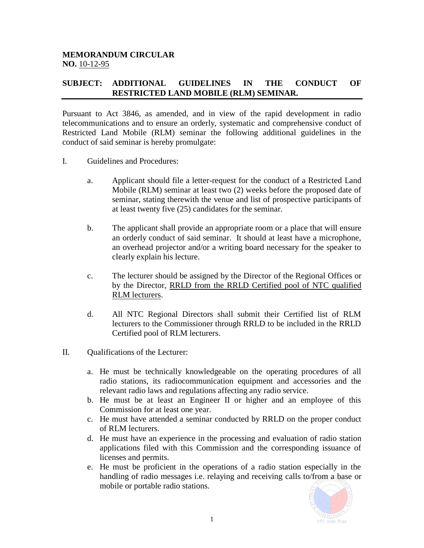## **MEMORANDUM CIRCULAR NO.** 10-12-95

## **SUBJECT: ADDITIONAL GUIDELINES IN THE CONDUCT OF RESTRICTED LAND MOBILE (RLM) SEMINAR.**

Pursuant to Act 3846, as amended, and in view of the rapid development in radio telecommunications and to ensure an orderly, systematic and comprehensive conduct of Restricted Land Mobile (RLM) seminar the following additional guidelines in the conduct of said seminar is hereby promulgate:

- I. Guidelines and Procedures:
	- a. Applicant should file a letter-request for the conduct of a Restricted Land Mobile (RLM) seminar at least two (2) weeks before the proposed date of seminar, stating therewith the venue and list of prospective participants of at least twenty five (25) candidates for the seminar.
	- b. The applicant shall provide an appropriate room or a place that will ensure an orderly conduct of said seminar. It should at least have a microphone, an overhead projector and/or a writing board necessary for the speaker to clearly explain his lecture.
	- c. The lecturer should be assigned by the Director of the Regional Offices or by the Director, RRLD from the RRLD Certified pool of NTC qualified RLM lecturers.
	- d. All NTC Regional Directors shall submit their Certified list of RLM lecturers to the Commissioner through RRLD to be included in the RRLD Certified pool of RLM lecturers.
- II. Qualifications of the Lecturer:
	- a. He must be technically knowledgeable on the operating procedures of all radio stations, its radiocommunication equipment and accessories and the relevant radio laws and regulations affecting any radio service.
	- b. He must be at least an Engineer II or higher and an employee of this Commission for at least one year.
	- c. He must have attended a seminar conducted by RRLD on the proper conduct of RLM lecturers.
	- d. He must have an experience in the processing and evaluation of radio station applications filed with this Commission and the corresponding issuance of licenses and permits.
	- e. He must be proficient in the operations of a radio station especially in the handling of radio messages i.e. relaying and receiving calls to/from a base or mobile or portable radio stations.